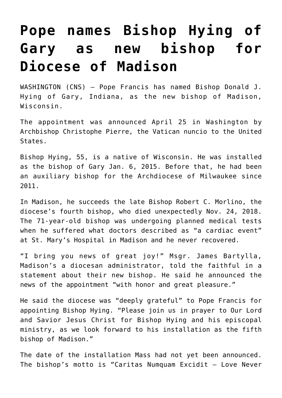## **[Pope names Bishop Hying of](https://www.osvnews.com/2019/04/25/pope-names-bishop-hying-of-gary-as-new-bishop-for-diocese-of-madison/) [Gary as new bishop for](https://www.osvnews.com/2019/04/25/pope-names-bishop-hying-of-gary-as-new-bishop-for-diocese-of-madison/) [Diocese of Madison](https://www.osvnews.com/2019/04/25/pope-names-bishop-hying-of-gary-as-new-bishop-for-diocese-of-madison/)**

WASHINGTON (CNS) — Pope Francis has named Bishop Donald J. Hying of Gary, Indiana, as the new bishop of Madison, Wisconsin.

The appointment was announced April 25 in Washington by Archbishop Christophe Pierre, the Vatican nuncio to the United States.

Bishop Hying, 55, is a native of Wisconsin. He was installed as the bishop of Gary Jan. 6, 2015. Before that, he had been an auxiliary bishop for the Archdiocese of Milwaukee since 2011.

In Madison, he succeeds the late Bishop Robert C. Morlino, the diocese's fourth bishop, who died unexpectedly Nov. 24, 2018. The 71-year-old bishop was undergoing planned medical tests when he suffered what doctors described as "a cardiac event" at St. Mary's Hospital in Madison and he never recovered.

"I bring you news of great joy!" Msgr. James Bartylla, Madison's a diocesan administrator, told the faithful in a statement about their new bishop. He said he announced the news of the appointment "with honor and great pleasure."

He said the diocese was "deeply grateful" to Pope Francis for appointing Bishop Hying. "Please join us in prayer to Our Lord and Savior Jesus Christ for Bishop Hying and his episcopal ministry, as we look forward to his installation as the fifth bishop of Madison."

The date of the installation Mass had not yet been announced. The bishop's motto is "Caritas Numquam Excidit — Love Never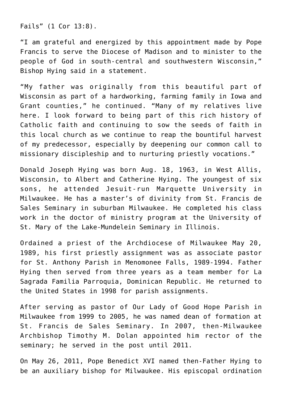Fails" (1 Cor 13:8).

"I am grateful and energized by this appointment made by Pope Francis to serve the Diocese of Madison and to minister to the people of God in south-central and southwestern Wisconsin," Bishop Hying said in a statement.

"My father was originally from this beautiful part of Wisconsin as part of a hardworking, farming family in Iowa and Grant counties," he continued. "Many of my relatives live here. I look forward to being part of this rich history of Catholic faith and continuing to sow the seeds of faith in this local church as we continue to reap the bountiful harvest of my predecessor, especially by deepening our common call to missionary discipleship and to nurturing priestly vocations."

Donald Joseph Hying was born Aug. 18, 1963, in West Allis, Wisconsin, to Albert and Catherine Hying. The youngest of six sons, he attended Jesuit-run Marquette University in Milwaukee. He has a master's of divinity from St. Francis de Sales Seminary in suburban Milwaukee. He completed his class work in the doctor of ministry program at the University of St. Mary of the Lake-Mundelein Seminary in Illinois.

Ordained a priest of the Archdiocese of Milwaukee May 20, 1989, his first priestly assignment was as associate pastor for St. Anthony Parish in Menomonee Falls, 1989-1994. Father Hying then served from three years as a team member for La Sagrada Familia Parroquia, Dominican Republic. He returned to the United States in 1998 for parish assignments.

After serving as pastor of Our Lady of Good Hope Parish in Milwaukee from 1999 to 2005, he was named dean of formation at St. Francis de Sales Seminary. In 2007, then-Milwaukee Archbishop Timothy M. Dolan appointed him rector of the seminary; he served in the post until 2011.

On May 26, 2011, Pope Benedict XVI named then-Father Hying to be an auxiliary bishop for Milwaukee. His episcopal ordination